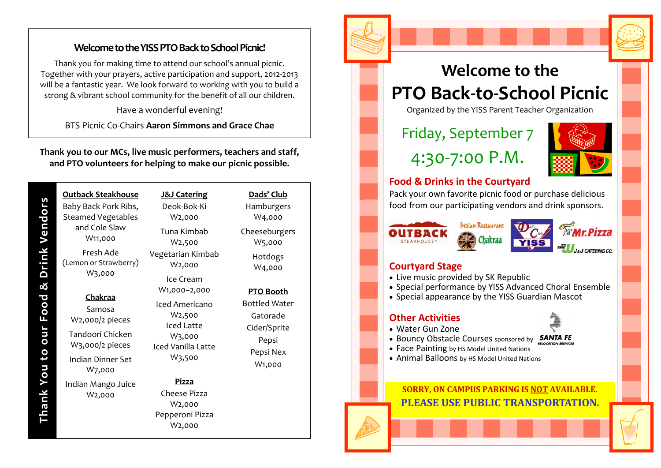#### **WelcometotheYISSPTOBacktoSchoolPicnic!**

Thank you for making time to attend our school's annual picnic. Together with your prayers, active participation and support, <sup>2012</sup>‐2013 will be <sup>a</sup> fantastic year. We look forward to working with you to build <sup>a</sup> strong & vibrant school community for the benefit of all our children.

Have a wonderful evening!

BTS Picnic Co‐Chairs **Aaron Simmons and Grace Chae**

#### **Thank you to our MCs, live music performers, teachers and staff, and PTO volunteers for helping to make our picnic possible.**

| Outback Steakhouse<br>Baby Back Pork Ribs,<br><b>Steamed Vegetables</b><br>and Cole Slaw<br>W <sub>11</sub> ,000  | <b>J&amp;J Catering</b><br>Deok-Bok-Ki<br>W2,000                                                     |
|-------------------------------------------------------------------------------------------------------------------|------------------------------------------------------------------------------------------------------|
|                                                                                                                   | Tuna Kimbab<br>W2,500                                                                                |
| Fresh Ade<br>(Lemon or Strawberry)<br>W3,000                                                                      | Vegetarian Kimbab<br>W <sub>2</sub> ,000                                                             |
|                                                                                                                   | Ice Cream<br>W1,000~2,000                                                                            |
| <b>Chakraa</b><br>Samosa<br>W2,000/2 pieces<br>Tandoori Chicken<br>W3,000/2 pieces<br>Indian Dinner Set<br>W7.000 | Iced Americano<br>W <sub>2</sub> ,500<br>Iced Latte<br>W3,000<br><b>Iced Vanilla Latte</b><br>W3,500 |
| Indian Mango Juice<br>W2,000                                                                                      | Pizza<br>Cheese Pizza<br>W2,000<br>Pepperoni Pizza<br>W2,000                                         |

**Thank You to our Food & Drink Vendors**

Thank You to our Food & Drink Vendors

**Dads' Club**Hamburgers W4,000 Cheeseburgers

> W5,000 Hotdogs W4,000

**PTO Booth** Bottled Water GatoradeCider/Sprite Pepsi Pepsi Nex W1,000

## **Welcome to the PTO Back ‐to‐School Picnic**

Organized by the YISS Parent Teacher Organization

Friday, September 7

4:30 ‐7:00 P.M.



#### **Food & Drinks in the Courtyard**

Pack your own favorite picnic food or purchase delicious food from our participating vendors and drink sponsors.



#### **Courtyard Stage**

- Live music provided by SK Republic
- Special performance by YISS Advanced Choral Ensemble
- Special appearance by the YISS Guardian Mascot

#### **Other Activities**

• Water Gun Zone





- Bouncy Obstacle Courses sponsored by **SANTA FE**
- Face Painting by HS Model United Nations
- Animal Balloons by HS Model United Nations

#### **SORRY, ON CAMPUS PARKING IS NOT AVAILABLE. PLEASE USE PUBLIC TRANSPORTATION.**